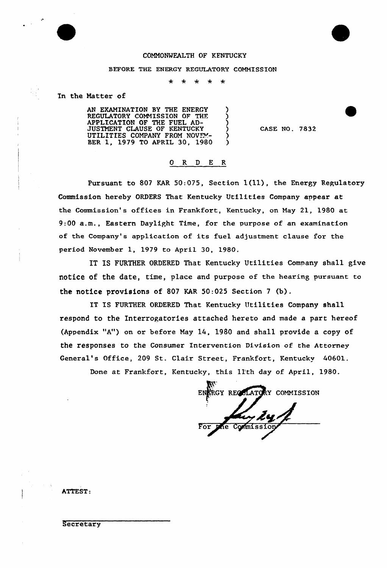

### COMMONWEALTH OF KFNTUCKY

#### BEFORE THE ENERGY REGULATORY COMMISSION

 $\star$ 

In the Matter of

AN EKAMINATION BY THE ENERGY REGULATORY COMMISSION OF THF. APPLICATION OF THE FUEL AD-JUSTMENT CLAUSE OF KENTUCKY UTILITIES COMPANY FROM NOVEM-BER 1, 1979 TO APRIL 30, 1980

CASE NO. 7832

## 0 R <sup>D</sup> E R

Pursuant to 807 KAR 50:075, Section 1(11), the Energy Regulatory Commission hereby ORDERS That Kentucky Utilities Company appear at the Commission's offices in Frankfort, Kentucky, on May 21, 1980 at 9:00 a.m., Eastern Daylight Time, for the purpose of an examination of the Company's application of its fuel adjustment clause for the period November 1, 1979 to April 30, 1980.

IT IS FURTHER ORDERED That Kentucky Utilities Company shall give notice of the date, time, place and purpose of the hearing pursuant to the notice provisions of 807 KAR 50:025 Section <sup>7</sup> (b).

IT IS FURTHER ORDERED That Kentucky Utilities Company shall respond to the Interrogatories attached hereto and made a part hereof (Appendix "A") on or before May 14, 1980 and shall provide a copy of the responses to the Consumer Intervention Division of the Attorney General's Office, 209 St. Clair Street, Frankfort, Kentucky 40601.

Done at Frankfort, Kentucky, this 11th day of April, 1980.

ENERGY REGULATORY COMMISSION le Commission

ATTEST:

**Secretary**